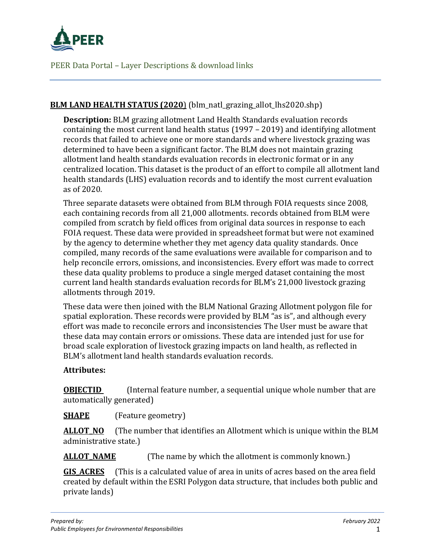

PEER Data Portal – Layer Descriptions & download links

### **BLM LAND HEALTH STATUS (2020**) (blm\_natl\_grazing\_allot\_lhs2020.shp)

**Description:** BLM grazing allotment Land Health Standards evaluation records containing the most current land health status (1997 – 2019) and identifying allotment records that failed to achieve one or more standards and where livestock grazing was determined to have been a significant factor. The BLM does not maintain grazing allotment land health standards evaluation records in electronic format or in any centralized location. This dataset is the product of an effort to compile all allotment land health standards (LHS) evaluation records and to identify the most current evaluation as of 2020.

Three separate datasets were obtained from BLM through FOIA requests since 2008, each containing records from all 21,000 allotments. records obtained from BLM were compiled from scratch by field offices from original data sources in response to each FOIA request. These data were provided in spreadsheet format but were not examined by the agency to determine whether they met agency data quality standards. Once compiled, many records of the same evaluations were available for comparison and to help reconcile errors, omissions, and inconsistencies. Every effort was made to correct these data quality problems to produce a single merged dataset containing the most current land health standards evaluation records for BLM's 21,000 livestock grazing allotments through 2019.

These data were then joined with the BLM National Grazing Allotment polygon file for spatial exploration. These records were provided by BLM "as is", and although every effort was made to reconcile errors and inconsistencies The User must be aware that these data may contain errors or omissions. These data are intended just for use for broad scale exploration of livestock grazing impacts on land health, as reflected in BLM's allotment land health standards evaluation records.

### **Attributes:**

**OBJECTID** (Internal feature number, a sequential unique whole number that are automatically generated)

**SHAPE** (Feature geometry)

**ALLOT NO** (The number that identifies an Allotment which is unique within the BLM administrative state.)

**ALLOT NAME** (The name by which the allotment is commonly known.)

**GIS ACRES** (This is a calculated value of area in units of acres based on the area field created by default within the ESRI Polygon data structure, that includes both public and private lands)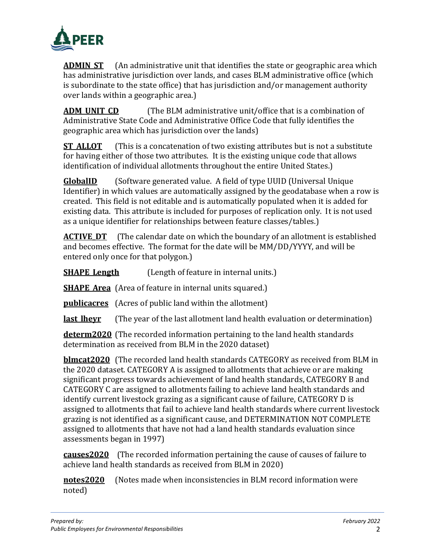

**ADMIN ST** (An administrative unit that identifies the state or geographic area which has administrative jurisdiction over lands, and cases BLM administrative office (which is subordinate to the state office) that has jurisdiction and/or management authority over lands within a geographic area.)

**ADM\_UNIT\_CD** (The BLM administrative unit/office that is a combination of Administrative State Code and Administrative Office Code that fully identifies the geographic area which has jurisdiction over the lands)

**ST\_ALLOT** (This is a concatenation of two existing attributes but is not a substitute for having either of those two attributes. It is the existing unique code that allows identification of individual allotments throughout the entire United States.)

**GlobalID** (Software generated value. A field of type UUID (Universal Unique Identifier) in which values are automatically assigned by the geodatabase when a row is created. This field is not editable and is automatically populated when it is added for existing data. This attribute is included for purposes of replication only. It is not used as a unique identifier for relationships between feature classes/tables.)

**ACTIVE DT** (The calendar date on which the boundary of an allotment is established and becomes effective. The format for the date will be MM/DD/YYYY, and will be entered only once for that polygon.)

**SHAPE Length** (Length of feature in internal units.)

**SHAPE Area** (Area of feature in internal units squared.)

**publicacres** (Acres of public land within the allotment)

**last lhevr** (The year of the last allotment land health evaluation or determination)

**determ2020** (The recorded information pertaining to the land health standards determination as received from BLM in the 2020 dataset)

**blmcat2020** (The recorded land health standards CATEGORY as received from BLM in the 2020 dataset. CATEGORY A is assigned to allotments that achieve or are making significant progress towards achievement of land health standards, CATEGORY B and CATEGORY C are assigned to allotments failing to achieve land health standards and identify current livestock grazing as a significant cause of failure, CATEGORY D is assigned to allotments that fail to achieve land health standards where current livestock grazing is not identified as a significant cause, and DETERMINATION NOT COMPLETE assigned to allotments that have not had a land health standards evaluation since assessments began in 1997)

**causes2020** (The recorded information pertaining the cause of causes of failure to achieve land health standards as received from BLM in 2020)

**notes2020** (Notes made when inconsistencies in BLM record information were noted)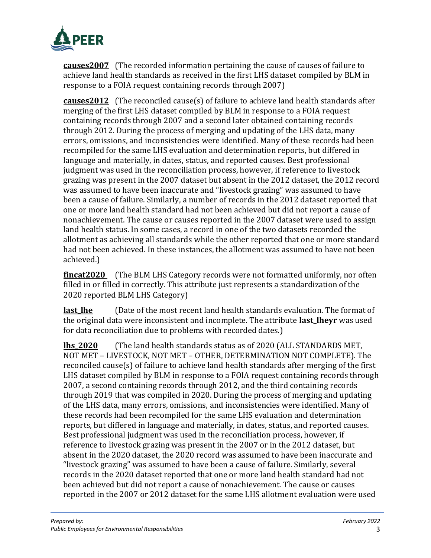

**causes2007** (The recorded information pertaining the cause of causes of failure to achieve land health standards as received in the first LHS dataset compiled by BLM in response to a FOIA request containing records through 2007)

**causes2012** (The reconciled cause(s) of failure to achieve land health standards after merging of the first LHS dataset compiled by BLM in response to a FOIA request containing records through 2007 and a second later obtained containing records through 2012. During the process of merging and updating of the LHS data, many errors, omissions, and inconsistencies were identified. Many of these records had been recompiled for the same LHS evaluation and determination reports, but differed in language and materially, in dates, status, and reported causes. Best professional judgment was used in the reconciliation process, however, if reference to livestock grazing was present in the 2007 dataset but absent in the 2012 dataset, the 2012 record was assumed to have been inaccurate and "livestock grazing" was assumed to have been a cause of failure. Similarly, a number of records in the 2012 dataset reported that one or more land health standard had not been achieved but did not report a cause of nonachievement. The cause or causes reported in the 2007 dataset were used to assign land health status. In some cases, a record in one of the two datasets recorded the allotment as achieving all standards while the other reported that one or more standard had not been achieved. In these instances, the allotment was assumed to have not been achieved.)

**fincat2020** (The BLM LHS Category records were not formatted uniformly, nor often filled in or filled in correctly. This attribute just represents a standardization of the 2020 reported BLM LHS Category)

**last lhe** (Date of the most recent land health standards evaluation. The format of the original data were inconsistent and incomplete. The attribute **last\_lheyr** was used for data reconciliation due to problems with recorded dates.)

**lhs\_2020** (The land health standards status as of 2020 (ALL STANDARDS MET, NOT MET – LIVESTOCK, NOT MET – OTHER, DETERMINATION NOT COMPLETE). The reconciled cause(s) of failure to achieve land health standards after merging of the first LHS dataset compiled by BLM in response to a FOIA request containing records through 2007, a second containing records through 2012, and the third containing records through 2019 that was compiled in 2020. During the process of merging and updating of the LHS data, many errors, omissions, and inconsistencies were identified. Many of these records had been recompiled for the same LHS evaluation and determination reports, but differed in language and materially, in dates, status, and reported causes. Best professional judgment was used in the reconciliation process, however, if reference to livestock grazing was present in the 2007 or in the 2012 dataset, but absent in the 2020 dataset, the 2020 record was assumed to have been inaccurate and "livestock grazing" was assumed to have been a cause of failure. Similarly, several records in the 2020 dataset reported that one or more land health standard had not been achieved but did not report a cause of nonachievement. The cause or causes reported in the 2007 or 2012 dataset for the same LHS allotment evaluation were used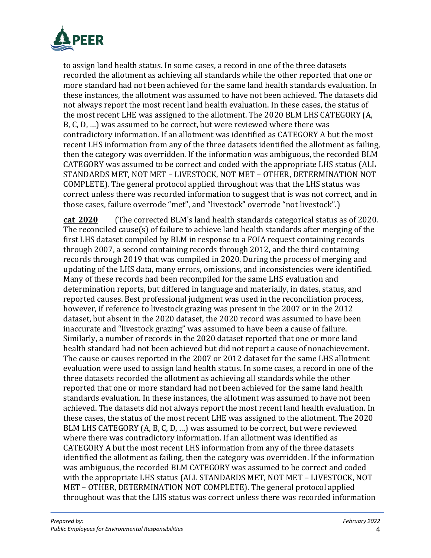

to assign land health status. In some cases, a record in one of the three datasets recorded the allotment as achieving all standards while the other reported that one or more standard had not been achieved for the same land health standards evaluation. In these instances, the allotment was assumed to have not been achieved. The datasets did not always report the most recent land health evaluation. In these cases, the status of the most recent LHE was assigned to the allotment. The 2020 BLM LHS CATEGORY (A, B, C, D, …) was assumed to be correct, but were reviewed where there was contradictory information. If an allotment was identified as CATEGORY A but the most recent LHS information from any of the three datasets identified the allotment as failing, then the category was overridden. If the information was ambiguous, the recorded BLM CATEGORY was assumed to be correct and coded with the appropriate LHS status (ALL STANDARDS MET, NOT MET – LIVESTOCK, NOT MET – OTHER, DETERMINATION NOT COMPLETE). The general protocol applied throughout was that the LHS status was correct unless there was recorded information to suggest that is was not correct, and in those cases, failure overrode "met", and "livestock" overrode "not livestock".)

**cat\_2020** (The corrected BLM's land health standards categorical status as of 2020. The reconciled cause(s) of failure to achieve land health standards after merging of the first LHS dataset compiled by BLM in response to a FOIA request containing records through 2007, a second containing records through 2012, and the third containing records through 2019 that was compiled in 2020. During the process of merging and updating of the LHS data, many errors, omissions, and inconsistencies were identified. Many of these records had been recompiled for the same LHS evaluation and determination reports, but differed in language and materially, in dates, status, and reported causes. Best professional judgment was used in the reconciliation process, however, if reference to livestock grazing was present in the 2007 or in the 2012 dataset, but absent in the 2020 dataset, the 2020 record was assumed to have been inaccurate and "livestock grazing" was assumed to have been a cause of failure. Similarly, a number of records in the 2020 dataset reported that one or more land health standard had not been achieved but did not report a cause of nonachievement. The cause or causes reported in the 2007 or 2012 dataset for the same LHS allotment evaluation were used to assign land health status. In some cases, a record in one of the three datasets recorded the allotment as achieving all standards while the other reported that one or more standard had not been achieved for the same land health standards evaluation. In these instances, the allotment was assumed to have not been achieved. The datasets did not always report the most recent land health evaluation. In these cases, the status of the most recent LHE was assigned to the allotment. The 2020 BLM LHS CATEGORY (A, B, C, D, …) was assumed to be correct, but were reviewed where there was contradictory information. If an allotment was identified as CATEGORY A but the most recent LHS information from any of the three datasets identified the allotment as failing, then the category was overridden. If the information was ambiguous, the recorded BLM CATEGORY was assumed to be correct and coded with the appropriate LHS status (ALL STANDARDS MET, NOT MET – LIVESTOCK, NOT MET – OTHER, DETERMINATION NOT COMPLETE). The general protocol applied throughout was that the LHS status was correct unless there was recorded information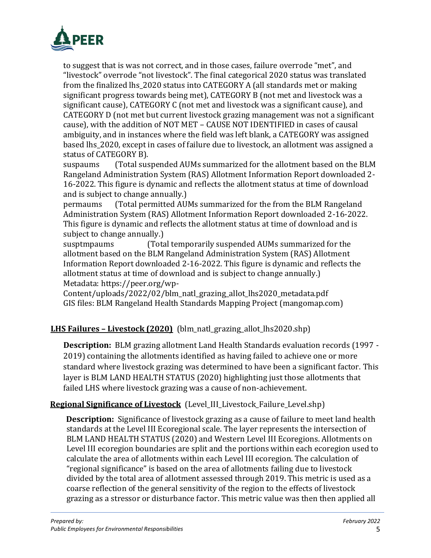

to suggest that is was not correct, and in those cases, failure overrode "met", and "livestock" overrode "not livestock". The final categorical 2020 status was translated from the finalized lhs\_2020 status into CATEGORY A (all standards met or making significant progress towards being met), CATEGORY B (not met and livestock was a significant cause), CATEGORY C (not met and livestock was a significant cause), and CATEGORY D (not met but current livestock grazing management was not a significant cause), with the addition of NOT MET – CAUSE NOT IDENTIFIED in cases of causal ambiguity, and in instances where the field was left blank, a CATEGORY was assigned based lhs\_2020, except in cases of failure due to livestock, an allotment was assigned a status of CATEGORY B).

suspaums (Total suspended AUMs summarized for the allotment based on the BLM Rangeland Administration System (RAS) Allotment Information Report downloaded 2- 16-2022. This figure is dynamic and reflects the allotment status at time of download and is subject to change annually.)

permaums (Total permitted AUMs summarized for the from the BLM Rangeland Administration System (RAS) Allotment Information Report downloaded 2-16-2022. This figure is dynamic and reflects the allotment status at time of download and is subject to change annually.)

susptmpaums (Total temporarily suspended AUMs summarized for the allotment based on the BLM Rangeland Administration System (RAS) Allotment Information Report downloaded 2-16-2022. This figure is dynamic and reflects the allotment status at time of download and is subject to change annually.) Metadata: https://peer.org/wp-

Content/uploads/2022/02/blm\_natl\_grazing\_allot\_lhs2020\_metadata.pdf GIS files: BLM Rangeland Health Standards Mapping Project (mangomap.com)

## **LHS Failures – Livestock (2020)** [\(blm\\_natl\\_grazing\\_allot\\_lhs2020.](https://mangomap.com/peer/data/eefd59c2-644a-11ec-9062-027d7e0bb32b)shp)

**Description:** BLM grazing allotment Land Health Standards evaluation records (1997 - 2019) containing the allotments identified as having failed to achieve one or more standard where livestock grazing was determined to have been a significant factor. This layer is BLM LAND HEALTH STATUS (2020) highlighting just those allotments that failed LHS where livestock grazing was a cause of non-achievement.

### **Regional Significance of Livestock** (Level\_III\_Livestock\_Failure\_Level.shp)

**Description:** Significance of livestock grazing as a cause of failure to meet land health standards at the Level III Ecoregional scale. The layer represents the intersection of BLM LAND HEALTH STATUS (2020) and Western Level III Ecoregions. Allotments on Level III ecoregion boundaries are split and the portions within each ecoregion used to calculate the area of allotments within each Level III ecoregion. The calculation of "regional significance" is based on the area of allotments failing due to livestock divided by the total area of allotment assessed through 2019. This metric is used as a coarse reflection of the general sensitivity of the region to the effects of livestock grazing as a stressor or disturbance factor. This metric value was then then applied all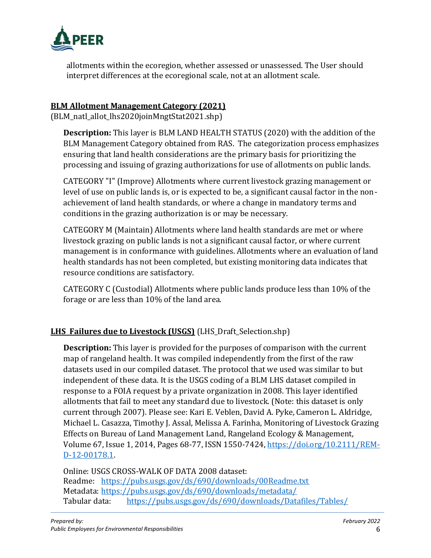

allotments within the ecoregion, whether assessed or unassessed. The User should interpret differences at the ecoregional scale, not at an allotment scale.

## **BLM Allotment Management Category (2021)**

[\(BLM\\_natl\\_allot\\_lhs2020joinMngtStat2021.](https://mangomap.com/peer/data/19f1685c-6f5f-11ec-accc-027d7e0bb32b)shp)

**Description:** This layer is BLM LAND HEALTH STATUS (2020) with the addition of the BLM Management Category obtained from RAS. The categorization process emphasizes ensuring that land health considerations are the primary basis for prioritizing the processing and issuing of grazing authorizations for use of allotments on public lands.

CATEGORY "I" (Improve) Allotments where current livestock grazing management or level of use on public lands is, or is expected to be, a significant causal factor in the nonachievement of land health standards, or where a change in mandatory terms and conditions in the grazing authorization is or may be necessary.

CATEGORY M (Maintain) Allotments where land health standards are met or where livestock grazing on public lands is not a significant causal factor, or where current management is in conformance with guidelines. Allotments where an evaluation of land health standards has not been completed, but existing monitoring data indicates that resource conditions are satisfactory.

CATEGORY C (Custodial) Allotments where public lands produce less than 10% of the forage or are less than 10% of the land area.

### **LHS Failures due to Livestock (USGS)** (LHS\_Draft\_Selection.shp)

**Description:** This layer is provided for the purposes of comparison with the current map of rangeland health. It was compiled independently from the first of the raw datasets used in our compiled dataset. The protocol that we used was similar to but independent of these data. It is the USGS coding of a BLM LHS dataset compiled in response to a FOIA request by a private organization in 2008. This layer identified allotments that fail to meet any standard due to livestock. (Note: this dataset is only current through 2007). Please see: Kari E. Veblen, David A. Pyke, Cameron L. Aldridge, Michael L. Casazza, Timothy J. Assal, Melissa A. Farinha, Monitoring of Livestock Grazing Effects on Bureau of Land Management Land, Rangeland Ecology & Management, Volume 67, Issue 1, 2014, Pages 68-77, ISSN 1550-7424, [https://doi.org/10.2111/REM-](https://doi.org/10.2111/REM-D-12-00178.1)[D-12-00178.1.](https://doi.org/10.2111/REM-D-12-00178.1)

Online: USGS CROSS-WALK OF DATA 2008 dataset: Readme: <https://pubs.usgs.gov/ds/690/downloads/00Readme.txt> Metadata:<https://pubs.usgs.gov/ds/690/downloads/metadata/> Tabular data: <https://pubs.usgs.gov/ds/690/downloads/Datafiles/Tables/>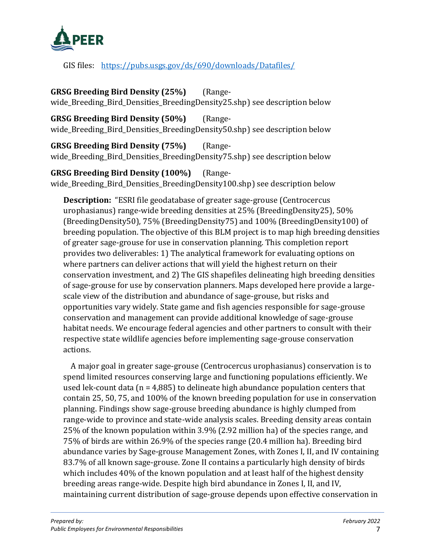

GIS files: <https://pubs.usgs.gov/ds/690/downloads/Datafiles/>

**GRSG Breeding Bird Density (25%)** (Rangewide Breeding Bird Densities BreedingDensity25.shp) see description below

**GRSG Breeding Bird Density (50%)** (Rangewide Breeding Bird Densities BreedingDensity50.shp) see description below

**GRSG Breeding Bird Density (75%)** (Rangewide\_Breeding\_Bird\_Densities\_BreedingDensity75.shp) see description below

**GRSG Breeding Bird Density (100%)** (Rangewide Breeding Bird Densities BreedingDensity100.shp) see description below

**Description:** "ESRI file geodatabase of greater sage-grouse (Centrocercus urophasianus) range-wide breeding densities at 25% (BreedingDensity25), 50% (BreedingDensity50), 75% (BreedingDensity75) and 100% (BreedingDensity100) of breeding population. The objective of this BLM project is to map high breeding densities of greater sage-grouse for use in conservation planning. This completion report provides two deliverables: 1) The analytical framework for evaluating options on where partners can deliver actions that will yield the highest return on their conservation investment, and 2) The GIS shapefiles delineating high breeding densities of sage-grouse for use by conservation planners. Maps developed here provide a largescale view of the distribution and abundance of sage-grouse, but risks and opportunities vary widely. State game and fish agencies responsible for sage-grouse conservation and management can provide additional knowledge of sage-grouse habitat needs. We encourage federal agencies and other partners to consult with their respective state wildlife agencies before implementing sage-grouse conservation actions.

 A major goal in greater sage-grouse (Centrocercus urophasianus) conservation is to spend limited resources conserving large and functioning populations efficiently. We used lek-count data ( $n = 4,885$ ) to delineate high abundance population centers that contain 25, 50, 75, and 100% of the known breeding population for use in conservation planning. Findings show sage-grouse breeding abundance is highly clumped from range-wide to province and state-wide analysis scales. Breeding density areas contain 25% of the known population within 3.9% (2.92 million ha) of the species range, and 75% of birds are within 26.9% of the species range (20.4 million ha). Breeding bird abundance varies by Sage-grouse Management Zones, with Zones I, II, and IV containing 83.7% of all known sage-grouse. Zone II contains a particularly high density of birds which includes 40% of the known population and at least half of the highest density breeding areas range-wide. Despite high bird abundance in Zones I, II, and IV, maintaining current distribution of sage-grouse depends upon effective conservation in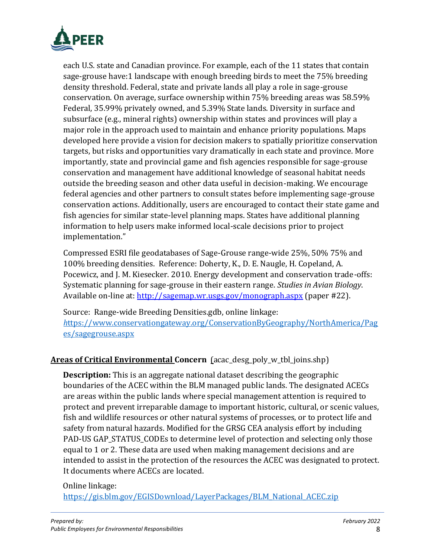

each U.S. state and Canadian province. For example, each of the 11 states that contain sage-grouse have:1 landscape with enough breeding birds to meet the 75% breeding density threshold. Federal, state and private lands all play a role in sage-grouse conservation. On average, surface ownership within 75% breeding areas was 58.59% Federal, 35.99% privately owned, and 5.39% State lands. Diversity in surface and subsurface (e.g., mineral rights) ownership within states and provinces will play a major role in the approach used to maintain and enhance priority populations. Maps developed here provide a vision for decision makers to spatially prioritize conservation targets, but risks and opportunities vary dramatically in each state and province. More importantly, state and provincial game and fish agencies responsible for sage-grouse conservation and management have additional knowledge of seasonal habitat needs outside the breeding season and other data useful in decision-making. We encourage federal agencies and other partners to consult states before implementing sage-grouse conservation actions. Additionally, users are encouraged to contact their state game and fish agencies for similar state-level planning maps. States have additional planning information to help users make informed local-scale decisions prior to project implementation."

Compressed ESRI file geodatabases of Sage-Grouse range-wide 25%, 50% 75% and 100% breeding densities. Reference: Doherty, K., D. E. Naugle, H. Copeland, A. Pocewicz, and J. M. Kiesecker. 2010. Energy development and conservation trade-offs: Systematic planning for sage-grouse in their eastern range. *Studies in Avian Biology*. Available on-line at:<http://sagemap.wr.usgs.gov/monograph.aspx> (paper #22).

Source: Range-wide Breeding Densities.gdb, online linkage: *h*[ttps://www.conservationgateway.org/ConservationByGeography/NorthAmerica/Pag](https://www.conservationgateway.org/ConservationByGeography/NorthAmerica/Pages/sagegrouse.aspx) [es/sagegrouse.aspx](https://www.conservationgateway.org/ConservationByGeography/NorthAmerica/Pages/sagegrouse.aspx)

### **Areas of Critical Environmental Concern** (acac\_desg\_poly\_w\_tbl\_joins.shp)

**Description:** This is an aggregate national dataset describing the geographic boundaries of the ACEC within the BLM managed public lands. The designated ACECs are areas within the public lands where special management attention is required to protect and prevent irreparable damage to important historic, cultural, or scenic values, fish and wildlife resources or other natural systems of processes, or to protect life and safety from natural hazards. Modified for the GRSG CEA analysis effort by including PAD-US GAP STATUS CODEs to determine level of protection and selecting only those equal to 1 or 2. These data are used when making management decisions and are intended to assist in the protection of the resources the ACEC was designated to protect. It documents where ACECs are located.

#### Online linkage:

[https://gis.blm.gov/EGISDownload/LayerPackages/BLM\\_National\\_ACEC.zip](https://gis.blm.gov/EGISDownload/LayerPackages/BLM_National_ACEC.zip)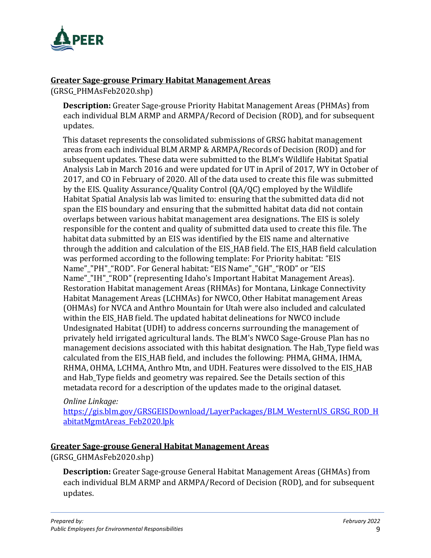

### **Greater Sage-grouse Primary Habitat Management Areas**

(GRSG\_PHMAsFeb2020.shp)

**Description:** Greater Sage-grouse Priority Habitat Management Areas (PHMAs) from each individual BLM ARMP and ARMPA/Record of Decision (ROD), and for subsequent updates.

This dataset represents the consolidated submissions of GRSG habitat management areas from each individual BLM ARMP & ARMPA/Records of Decision (ROD) and for subsequent updates. These data were submitted to the BLM's Wildlife Habitat Spatial Analysis Lab in March 2016 and were updated for UT in April of 2017, WY in October of 2017, and CO in February of 2020. All of the data used to create this file was submitted by the EIS. Quality Assurance/Quality Control (QA/QC) employed by the Wildlife Habitat Spatial Analysis lab was limited to: ensuring that the submitted data did not span the EIS boundary and ensuring that the submitted habitat data did not contain overlaps between various habitat management area designations. The EIS is solely responsible for the content and quality of submitted data used to create this file. The habitat data submitted by an EIS was identified by the EIS name and alternative through the addition and calculation of the EIS\_HAB field. The EIS\_HAB field calculation was performed according to the following template: For Priority habitat: "EIS Name" "PH" "ROD". For General habitat: "EIS Name" "GH" "ROD" or "EIS Name" "IH" "ROD" (representing Idaho's Important Habitat Management Areas). Restoration Habitat management Areas (RHMAs) for Montana, Linkage Connectivity Habitat Management Areas (LCHMAs) for NWCO, Other Habitat management Areas (OHMAs) for NVCA and Anthro Mountain for Utah were also included and calculated within the EIS HAB field. The updated habitat delineations for NWCO include Undesignated Habitat (UDH) to address concerns surrounding the management of privately held irrigated agricultural lands. The BLM's NWCO Sage-Grouse Plan has no management decisions associated with this habitat designation. The Hab\_Type field was calculated from the EIS\_HAB field, and includes the following: PHMA, GHMA, IHMA, RHMA, OHMA, LCHMA, Anthro Mtn, and UDH. Features were dissolved to the EIS\_HAB and Hab\_Type fields and geometry was repaired. See the Details section of this metadata record for a description of the updates made to the original dataset.

#### *Online Linkage:*

[https://gis.blm.gov/GRSGEISDownload/LayerPackages/BLM\\_WesternUS\\_GRSG\\_ROD\\_H](https://gis.blm.gov/GRSGEISDownload/LayerPackages/BLM_WesternUS_GRSG_ROD_HabitatMgmtAreas_Feb2020.lpk) [abitatMgmtAreas\\_Feb2020.lpk](https://gis.blm.gov/GRSGEISDownload/LayerPackages/BLM_WesternUS_GRSG_ROD_HabitatMgmtAreas_Feb2020.lpk)

#### **Greater Sage-grouse General Habitat Management Areas**

(GRSG\_GHMAsFeb2020.shp)

**Description:** Greater Sage-grouse General Habitat Management Areas (GHMAs) from each individual BLM ARMP and ARMPA/Record of Decision (ROD), and for subsequent updates.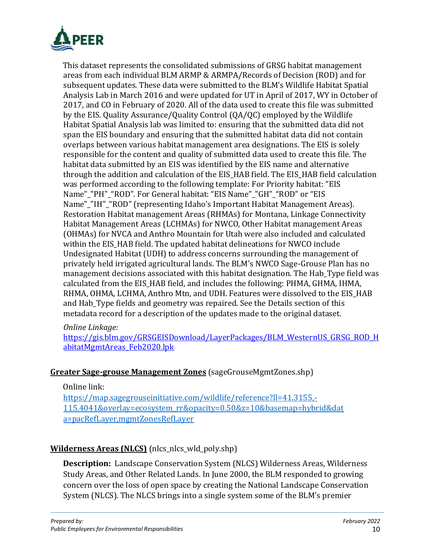

This dataset represents the consolidated submissions of GRSG habitat management areas from each individual BLM ARMP & ARMPA/Records of Decision (ROD) and for subsequent updates. These data were submitted to the BLM's Wildlife Habitat Spatial Analysis Lab in March 2016 and were updated for UT in April of 2017, WY in October of 2017, and CO in February of 2020. All of the data used to create this file was submitted by the EIS. Quality Assurance/Quality Control (QA/QC) employed by the Wildlife Habitat Spatial Analysis lab was limited to: ensuring that the submitted data did not span the EIS boundary and ensuring that the submitted habitat data did not contain overlaps between various habitat management area designations. The EIS is solely responsible for the content and quality of submitted data used to create this file. The habitat data submitted by an EIS was identified by the EIS name and alternative through the addition and calculation of the EIS HAB field. The EIS HAB field calculation was performed according to the following template: For Priority habitat: "EIS Name" "PH" "ROD". For General habitat: "EIS Name" "GH" "ROD" or "EIS Name" "IH" "ROD" (representing Idaho's Important Habitat Management Areas). Restoration Habitat management Areas (RHMAs) for Montana, Linkage Connectivity Habitat Management Areas (LCHMAs) for NWCO, Other Habitat management Areas (OHMAs) for NVCA and Anthro Mountain for Utah were also included and calculated within the EIS HAB field. The updated habitat delineations for NWCO include Undesignated Habitat (UDH) to address concerns surrounding the management of privately held irrigated agricultural lands. The BLM's NWCO Sage-Grouse Plan has no management decisions associated with this habitat designation. The Hab\_Type field was calculated from the EIS\_HAB field, and includes the following: PHMA, GHMA, IHMA, RHMA, OHMA, LCHMA, Anthro Mtn, and UDH. Features were dissolved to the EIS\_HAB and Hab\_Type fields and geometry was repaired. See the Details section of this metadata record for a description of the updates made to the original dataset.

*Online Linkage:* 

[https://gis.blm.gov/GRSGEISDownload/LayerPackages/BLM\\_WesternUS\\_GRSG\\_ROD\\_H](https://gis.blm.gov/GRSGEISDownload/LayerPackages/BLM_WesternUS_GRSG_ROD_HabitatMgmtAreas_Feb2020.lpk)\_ [abitatMgmtAreas\\_Feb2020.lpk](https://gis.blm.gov/GRSGEISDownload/LayerPackages/BLM_WesternUS_GRSG_ROD_HabitatMgmtAreas_Feb2020.lpk)

### **Greater Sage-grouse Management Zones** (sageGrouseMgmtZones.shp)

Online link: [https://map.sagegrouseinitiative.com/wildlife/reference?ll=41.3155,-](https://map.sagegrouseinitiative.com/wildlife/reference?ll=41.3155,-115.4041&overlay=ecosystem_rr&opacity=0.50&z=10&basemap=hybrid&data=pacRefLayer,mgmtZonesRefLayer) [115.4041&overlay=ecosystem\\_rr&opacity=0.50&z=10&basemap=hybrid&dat](https://map.sagegrouseinitiative.com/wildlife/reference?ll=41.3155,-115.4041&overlay=ecosystem_rr&opacity=0.50&z=10&basemap=hybrid&data=pacRefLayer,mgmtZonesRefLayer) [a=pacRefLayer,mgmtZonesRefLayer](https://map.sagegrouseinitiative.com/wildlife/reference?ll=41.3155,-115.4041&overlay=ecosystem_rr&opacity=0.50&z=10&basemap=hybrid&data=pacRefLayer,mgmtZonesRefLayer)

## **Wilderness Areas (NLCS)** (nlcs\_nlcs\_wld\_poly.shp)

**Description:** Landscape Conservation System (NLCS) Wilderness Areas, Wilderness Study Areas, and Other Related Lands. In June 2000, the BLM responded to growing concern over the loss of open space by creating the National Landscape Conservation System (NLCS). The NLCS brings into a single system some of the BLM's premier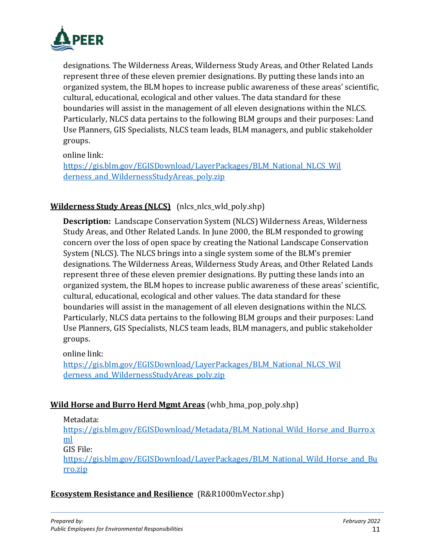

designations. The Wilderness Areas, Wilderness Study Areas, and Other Related Lands represent three of these eleven premier designations. By putting these lands into an organized system, the BLM hopes to increase public awareness of these areas' scientific, cultural, educational, ecological and other values. The data standard for these boundaries will assist in the management of all eleven designations within the NLCS. Particularly, NLCS data pertains to the following BLM groups and their purposes: Land Use Planners, GIS Specialists, NLCS team leads, BLM managers, and public stakeholder groups.

online link:

[https://gis.blm.gov/EGISDownload/LayerPackages/BLM\\_National\\_NLCS\\_Wil](https://gis.blm.gov/EGISDownload/LayerPackages/BLM_National_NLCS_Wilderness_and_WildernessStudyAreas_poly.zip) derness and WildernessStudyAreas poly.zip

# **Wilderness Study Areas (NLCS)** (nlcs\_nlcs\_wld\_poly.shp)

**Description:** Landscape Conservation System (NLCS) Wilderness Areas, Wilderness Study Areas, and Other Related Lands. In June 2000, the BLM responded to growing concern over the loss of open space by creating the National Landscape Conservation System (NLCS). The NLCS brings into a single system some of the BLM's premier designations. The Wilderness Areas, Wilderness Study Areas, and Other Related Lands represent three of these eleven premier designations. By putting these lands into an organized system, the BLM hopes to increase public awareness of these areas' scientific, cultural, educational, ecological and other values. The data standard for these boundaries will assist in the management of all eleven designations within the NLCS. Particularly, NLCS data pertains to the following BLM groups and their purposes: Land Use Planners, GIS Specialists, NLCS team leads, BLM managers, and public stakeholder groups.

online link:

[https://gis.blm.gov/EGISDownload/LayerPackages/BLM\\_National\\_NLCS\\_Wil](https://gis.blm.gov/EGISDownload/LayerPackages/BLM_National_NLCS_Wilderness_and_WildernessStudyAreas_poly.zip) derness and WildernessStudyAreas poly.zip

## **Wild Horse and Burro Herd Mgmt Areas** (whb\_hma\_pop\_poly.shp)

Metadata:

[https://gis.blm.gov/EGISDownload/Metadata/BLM\\_National\\_Wild\\_Horse\\_and\\_Burro.x](https://gis.blm.gov/EGISDownload/Metadata/BLM_National_Wild_Horse_and_Burro.xml) [ml](https://gis.blm.gov/EGISDownload/Metadata/BLM_National_Wild_Horse_and_Burro.xml)

GIS File:

[https://gis.blm.gov/EGISDownload/LayerPackages/BLM\\_National\\_Wild\\_Horse\\_and\\_Bu](https://gis.blm.gov/EGISDownload/LayerPackages/BLM_National_Wild_Horse_and_Burro.zip) [rro.zip](https://gis.blm.gov/EGISDownload/LayerPackages/BLM_National_Wild_Horse_and_Burro.zip)

## **Ecosystem Resistance and Resilience** (R&R1000mVector.shp)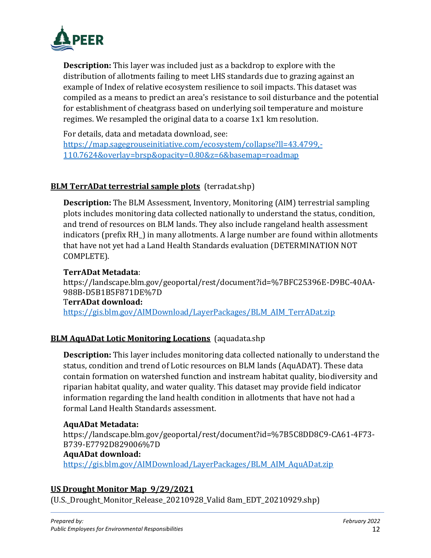

**Description:** This layer was included just as a backdrop to explore with the distribution of allotments failing to meet LHS standards due to grazing against an example of Index of relative ecosystem resilience to soil impacts. This dataset was compiled as a means to predict an area's resistance to soil disturbance and the potential for establishment of cheatgrass based on underlying soil temperature and moisture regimes. We resampled the original data to a coarse 1x1 km resolution.

For details, data and metadata download, see: [https://map.sagegrouseinitiative.com/ecosystem/collapse?ll=43.4799,-](https://map.sagegrouseinitiative.com/ecosystem/collapse?ll=43.4799,-110.7624&overlay=brsp&opacity=0.80&z=6&basemap=roadmap) [110.7624&overlay=brsp&opacity=0.80&z=6&basemap=roadmap](https://map.sagegrouseinitiative.com/ecosystem/collapse?ll=43.4799,-110.7624&overlay=brsp&opacity=0.80&z=6&basemap=roadmap)

### **BLM TerrADat terrestrial sample plots** (terradat.shp)

**Description:** The BLM Assessment, Inventory, Monitoring (AIM) terrestrial sampling plots includes monitoring data collected nationally to understand the status, condition, and trend of resources on BLM lands. They also include rangeland health assessment indicators (prefix RH\_) in many allotments. A large number are found within allotments that have not yet had a Land Health Standards evaluation (DETERMINATION NOT COMPLETE).

#### **TerrADat Metadata**:

https://landscape.blm.gov/geoportal/rest/document?id=%7BFC25396E-D9BC-40AA-988B-D5B1B5F871DE%7D T**errADat download:**  [https://gis.blm.gov/AIMDownload/LayerPackages/BLM\\_AIM\\_TerrADat.zip](https://gis.blm.gov/AIMDownload/LayerPackages/BLM_AIM_TerrADat.zip)

### **BLM AquADat Lotic Monitoring Locations** (aquadata.shp

**Description:** This layer includes monitoring data collected nationally to understand the status, condition and trend of Lotic resources on BLM lands (AquADAT). These data contain formation on watershed function and instream habitat quality, biodiversity and riparian habitat quality, and water quality. This dataset may provide field indicator information regarding the land health condition in allotments that have not had a formal Land Health Standards assessment.

### **AquADat Metadata:**

https://landscape.blm.gov/geoportal/rest/document?id=%7B5C8DD8C9-CA61-4F73- B739-E7792D829006%7D

#### **AquADat download:**

[https://gis.blm.gov/AIMDownload/LayerPackages/BLM\\_AIM\\_AquADat.zip](https://gis.blm.gov/AIMDownload/LayerPackages/BLM_AIM_AquADat.zip)

### **US Drought Monitor Map 9/29/2021**

(U.S.\_Drought\_Monitor\_Release\_20210928\_Valid 8am\_EDT\_20210929.shp)